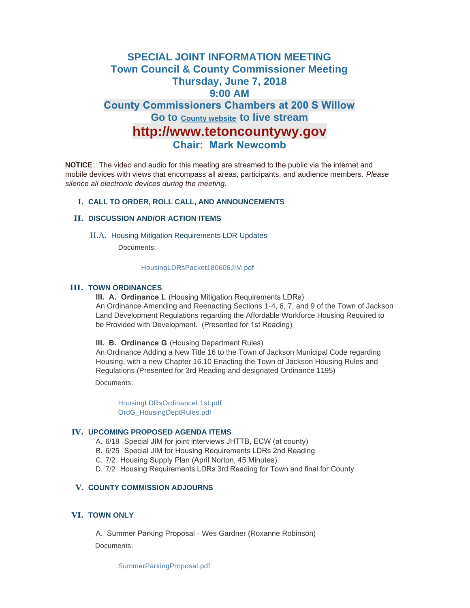# **SPECIAL JOINT INFORMATION MEETING Town Council & County Commissioner Meeting Thursday, June 7, 2018 9:00 AM**

# **County Commissioners Chambers at 200 S Willow** Go to **County website** to live stream

# **http://www.tetoncountywy.gov**

# **Chair: Mark Newcomb**

**NOTICE**: The video and audio for this meeting are streamed to the public via the internet and mobile devices with views that encompass all areas, participants, and audience members. *Please silence all electronic devices during the meeting.* 

### **CALL TO ORDER, ROLL CALL, AND ANNOUNCEMENTS I.**

### **DISCUSSION AND/OR ACTION ITEMS II.**

II.A. Housing Mitigation Requirements LDR Updates

Documents:

#### [HousingLDRsPacket180606JIM.pdf](https://www.jacksonwy.gov/AgendaCenter/ViewFile/Item/1220?fileID=3713)

## **III. TOWN ORDINANCES**

**III. A. Ordinance L** (Housing Mitigation Requirements LDRs) An Ordinance Amending and Reenacting Sections 1-4, 6, 7, and 9 of the Town of Jackson Land Development Regulations regarding the Affordable Workforce Housing Required to be Provided with Development. (Presented for 1st Reading)

#### **III. B. Ordinance G** (Housing Department Rules)

An Ordinance Adding a New Title 16 to the Town of Jackson Municipal Code regarding Housing, with a new Chapter 16.10 Enacting the Town of Jackson Housing Rules and Regulations (Presented for 3rd Reading and designated Ordinance 1195)

Documents:

[HousingLDRsOrdinanceL1st.pdf](https://www.jacksonwy.gov/AgendaCenter/ViewFile/Item/1221?fileID=3714) [OrdG\\_HousingDeptRules.pdf](https://www.jacksonwy.gov/AgendaCenter/ViewFile/Item/1221?fileID=3715)

#### **UPCOMING PROPOSED AGENDA ITEMS IV.**

- A. 6/18 Special JIM for joint interviews JHTTB, ECW (at county)
- B. 6/25 Special JIM for Housing Requirements LDRs 2nd Reading
- C. 7/2 Housing Supply Plan (April Norton, 45 Minutes)
- D. 7/2 Housing Requirements LDRs 3rd Reading for Town and final for County

## **COUNTY COMMISSION ADJOURNS V.**

### **TOWN ONLY VI.**

A. Summer Parking Proposal - Wes Gardner (Roxanne Robinson) Documents:

[SummerParkingProposal.pdf](https://www.jacksonwy.gov/AgendaCenter/ViewFile/Item/1230?fileID=3718)